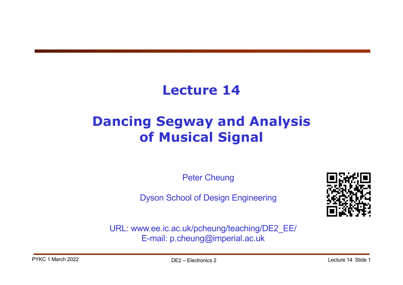## **Lecture 14**

# **Dancing Segway and Analysis of Musical Signal**

Peter Cheung

Dyson School of Design Engineering



URL: www.ee.ic.ac.uk/pcheung/teaching/DE2\_EE/ E-mail: p.cheung@imperial.ac.uk

PYKC 1 March 2022 **DE2** – Flectronics 2 Lecture 14 Slide 1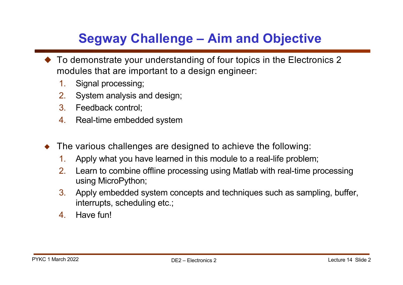## **Segway Challenge – Aim and Objective**

- $\blacklozenge$  To demonstrate your understanding of four topics in the Electronics 2 modules that are important to a design engineer:
	- 1. Signal processing;
	- 2. System analysis and design;
	- 3. Feedback control;
	- 4. Real-time embedded system
- $\blacklozenge$  The various challenges are designed to achieve the following:
	- 1. Apply what you have learned in this module to a real-life problem;
	- 2. Learn to combine offline processing using Matlab with real-time processing using MicroPython;
	- 3. Apply embedded system concepts and techniques such as sampling, buffer, interrupts, scheduling etc.;
	- 4. Have fun!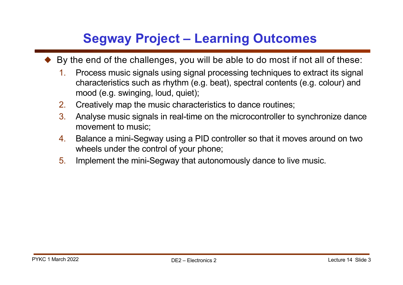#### **Segway Project – Learning Outcomes**

- ! By the end of the challenges, you will be able to do most if not all of these:
	- 1. Process music signals using signal processing techniques to extract its signal characteristics such as rhythm (e.g. beat), spectral contents (e.g. colour) and mood (e.g. swinging, loud, quiet);
	- 2. Creatively map the music characteristics to dance routines;
	- 3. Analyse music signals in real-time on the microcontroller to synchronize dance movement to music;
	- 4. Balance a mini-Segway using a PID controller so that it moves around on two wheels under the control of your phone;
	- 5. Implement the mini-Segway that autonomously dance to live music.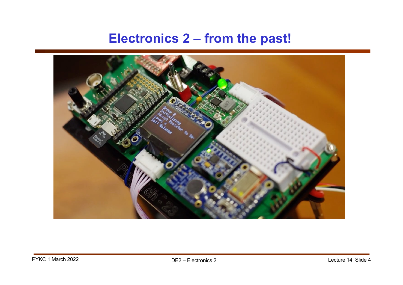#### **Electronics 2 – from the past!**

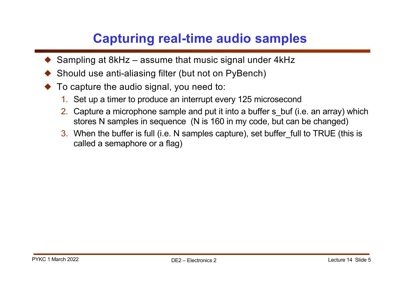### **Capturing real-time audio samples**

- Sampling at 8kHz assume that music signal under 4kHz
- ! Should use anti-aliasing filter (but not on PyBench)
- To capture the audio signal, you need to:
	- 1. Set up a timer to produce an interrupt every 125 microsecond
	- 2. Capture a microphone sample and put it into a buffer s buf (i.e. an array) which stores N samples in sequence (N is 160 in my code, but can be changed)
	- 3. When the buffer is full (i.e. N samples capture), set buffer full to TRUE (this is called a semaphore or a flag)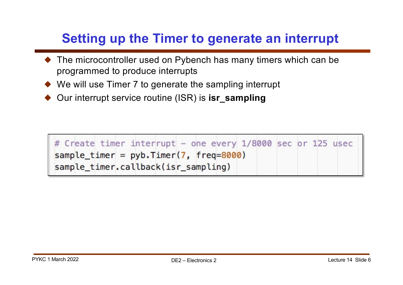#### **Setting up the Timer to generate an interrupt**

- ◆ The microcontroller used on Pybench has many timers which can be programmed to produce interrupts
- $\blacklozenge$  We will use Timer 7 to generate the sampling interrupt
- ! Our interrupt service routine (ISR) is **isr\_sampling**

| # Create timer interrupt - one every 1/8000 sec or 125 usec |  |  |
|-------------------------------------------------------------|--|--|
| sample_timer = $pyb.$ Timer(7, freq=8000)                   |  |  |
| sample timer.callback(isr_sampling)                         |  |  |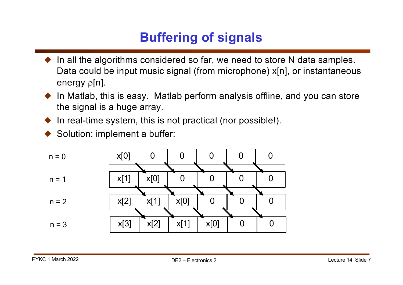## **Buffering of signals**

- In all the algorithms considered so far, we need to store N data samples. Data could be input music signal (from microphone) x[n], or instantaneous energy  $\rho[n]$ .
- In Matlab, this is easy. Matlab perform analysis offline, and you can store the signal is a huge array.
- In real-time system, this is not practical (nor possible!).
- Solution: implement a buffer:

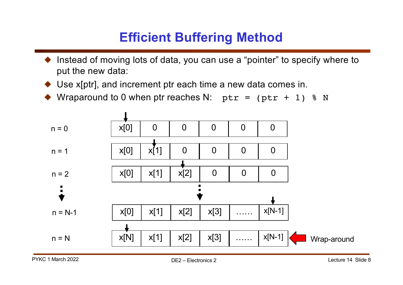### **Efficient Buffering Method**

- Instead of moving lots of data, you can use a "pointer" to specify where to put the new data:
- Use x[ptr], and increment ptr each time a new data comes in.
- $\blacklozenge$  Wraparound to 0 when ptr reaches N: ptr = (ptr + 1)  $\text{\$}$  N

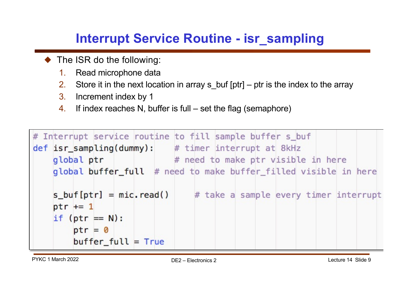## **Interrupt Service Routine - isr\_sampling**

- $\blacklozenge$  The ISR do the following:
	- 1. Read microphone data
	- 2. Store it in the next location in array s buf  $[ptr]$  ptr is the index to the array
	- 3. Increment index by 1
	- 4. If index reaches N, buffer is full set the flag (semaphore)

```
# Interrupt service routine to fill sample buffer s_buf
def isr_sampling(dummy): # timer interrupt at 8kHz
                          # need to make ptr visible in here
   global ptr
   global buffer_full # need to make buffer_filled visible in here
   s_buf[ptr] = mic.read()# take a sample every timer interrupt
   ptr += 1if (ptr == N):
       ptr = 0buffer\_full = True
```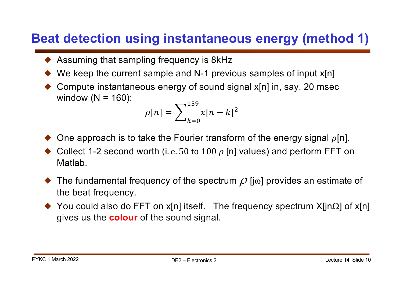#### **Beat detection using instantaneous energy (method 1)**

- $\triangle$  Assuming that sampling frequency is 8kHz
- We keep the current sample and N-1 previous samples of input  $x[n]$
- Compute instantaneous energy of sound signal x[n] in, say, 20 msec window  $(N = 160)$ :

$$
\rho[n] = \sum_{k=0}^{159} x[n-k]^2
$$

- One approach is to take the Fourier transform of the energy signal  $\rho[n]$ .
- $\bullet$  Collect 1-2 second worth (i. e. 50 to 100  $\rho$  [n] values) and perform FFT on Matlab.
- $\blacklozenge$  The fundamental frequency of the spectrum  $\rho$  [j $\omega$ ] provides an estimate of the beat frequency.
- $\blacklozenge$  You could also do FFT on x[n] itself. The frequency spectrum X[jn $\Omega$ ] of x[n] gives us the **colour** of the sound signal.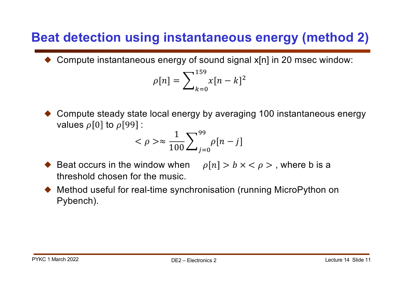#### **Beat detection using instantaneous energy (method 2)**

! Compute instantaneous energy of sound signal x[n] in 20 msec window:

$$
\rho[n] = \sum_{k=0}^{159} x[n-k]^2
$$

! Compute steady state local energy by averaging 100 instantaneous energy values  $\rho[0]$  to  $\rho[99]$  :

$$
\langle \rho \rangle \approx \frac{1}{100} \sum_{j=0}^{99} \rho[n-j]
$$

- Beat occurs in the window when  $\rho[n] > b \times \langle \rho \rangle$ , where b is a threshold chosen for the music.
- ! Method useful for real-time synchronisation (running MicroPython on Pybench).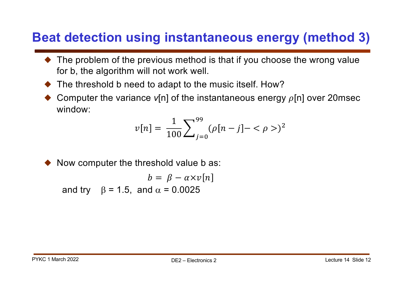#### **Beat detection using instantaneous energy (method 3)**

- The problem of the previous method is that if you choose the wrong value for b, the algorithm will not work well.
- ! The threshold b need to adapt to the music itself. How?
- Computer the variance  $v[n]$  of the instantaneous energy  $\rho[n]$  over 20msec window:

$$
v[n] = \frac{1}{100} \sum_{j=0}^{99} (\rho[n-j] - \langle \rho \rangle)^2
$$

Now computer the threshold value b as:

and try  $\beta = 1.5$ , and  $\alpha = 0.0025$  $b = \beta - \alpha \times v[n]$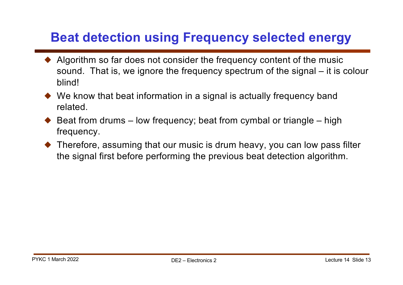#### **Beat detection using Frequency selected energy**

- $\triangle$  Algorithm so far does not consider the frequency content of the music sound. That is, we ignore the frequency spectrum of the signal – it is colour blind!
- $\blacklozenge$  We know that beat information in a signal is actually frequency band related.
- $\triangle$  Beat from drums low frequency; beat from cymbal or triangle high frequency.
- $\blacklozenge$  Therefore, assuming that our music is drum heavy, you can low pass filter the signal first before performing the previous beat detection algorithm.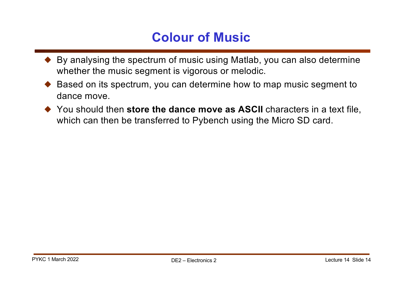#### **Colour of Music**

- $\blacklozenge$  By analysing the spectrum of music using Matlab, you can also determine whether the music segment is vigorous or melodic.
- ! Based on its spectrum, you can determine how to map music segment to dance move.
- ◆ You should then **store the dance move as ASCII** characters in a text file, which can then be transferred to Pybench using the Micro SD card.